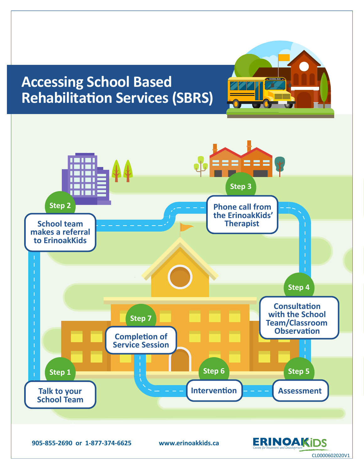# **Accessing School Based Rehabilitation Services (SBRS)**



CL0000602020V1

**SCHOOL BUS**